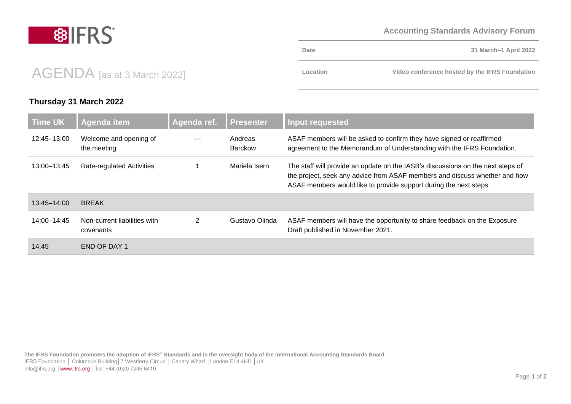### **Accounting Standards Advisory Forum**

#### **The IFRS Foundation promotes the adoption of IFRS® Standards and is the oversight body of the International Accounting Standards Board** IFRS Foundation │ Columbus Building│7 Westferry Circus │ Canary Wharf │London E14 4HD │UK info@ifrs.org [│www.ifrs.org](http://www.ifrs.org/) │Tel: +44 (0)20 7246 6410

#### **Time UK Agenda item Agenda ref. Presenter Input requested**  12:45–13:00 Welcome and opening of the meeting --- Andreas Barckow ASAF members will be asked to confirm they have signed or reaffirmed agreement to the Memorandum of Understanding with the IFRS Foundation. 13:00–13:45 Rate-regulated Activities 1 Mariela Isern The staff will provide an update on the IASB's discussions on the next steps of the project, seek any advice from ASAF members and discuss whether and how ASAF members would like to provide support during the next steps. 13:45–14:00 BREAK 14:00–14:45 Non-current liabilities with covenants 2 Gustavo Olinda ASAF members will have the opportunity to share feedback on the Exposure Draft published in November 2021. 14.45 END OF DAY 1

# AGENDA [as at 3 March 2022]

## **Thursday 31 March 2022**

**Date 31 March–1 April 2022 Location Video conference hosted by the IFRS Foundation**